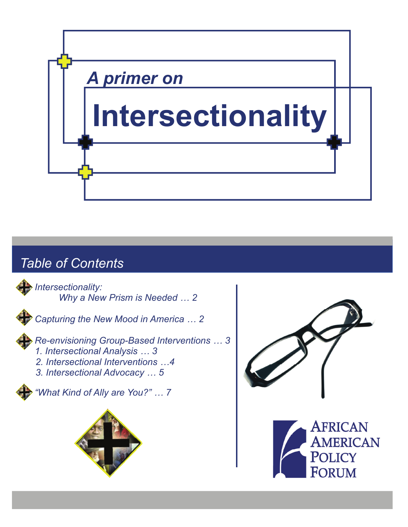

# *Table of Contents*

*Intersectionality: Why a New Prism is Needed … 2* 



*Capturing the New Mood in America … 2* 

*Re-envisioning Group-Based Interventions … 3 1. Intersectional Analysis … 3* 

- 
- *2. Intersectional Interventions …4*
- *3. Intersectional Advocacy … 5*

*"What Kind of Ally are You?" … 7* 





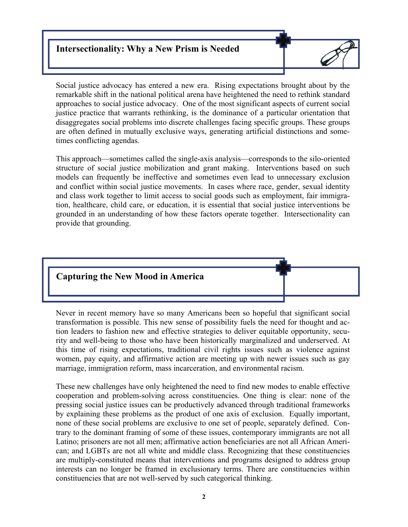# **Intersectionality: Why a New Prism is Needed**



Social justice advocacy has entered a new era. Rising expectations brought about by the remarkable shift in the national political arena have heightened the need to rethink standard approaches to social justice advocacy. One of the most significant aspects of current social justice practice that warrants rethinking, is the dominance of a particular orientation that disaggregates social problems into discrete challenges facing specific groups. These groups are often defined in mutually exclusive ways, generating artificial distinctions and sometimes conflicting agendas.

This approach—sometimes called the single-axis analysis—corresponds to the silo-oriented structure of social justice mobilization and grant making. Interventions based on such models can frequently be ineffective and sometimes even lead to unnecessary exclusion and conflict within social justice movements. In cases where race, gender, sexual identity and class work together to limit access to social goods such as employment, fair immigration, healthcare, child care, or education, it is essential that social justice interventions be grounded in an understanding of how these factors operate together. Intersectionality can provide that grounding.



Never in recent memory have so many Americans been so hopeful that significant social transformation is possible. This new sense of possibility fuels the need for thought and action leaders to fashion new and effective strategies to deliver equitable opportunity, security and well-being to those who have been historically marginalized and underserved. At this time of rising expectations, traditional civil rights issues such as violence against women, pay equity, and affirmative action are meeting up with newer issues such as gay marriage, immigration reform, mass incarceration, and environmental racism.

These new challenges have only heightened the need to find new modes to enable effective cooperation and problem-solving across constituencies. One thing is clear: none of the pressing social justice issues can be productively advanced through traditional frameworks by explaining these problems as the product of one axis of exclusion. Equally important, none of these social problems are exclusive to one set of people, separately defined. Contrary to the dominant framing of some of these issues, contemporary immigrants are not all Latino; prisoners are not all men; affirmative action beneficiaries are not all African American; and LGBTs are not all white and middle class. Recognizing that these constituencies are multiply-constituted means that interventions and programs designed to address group interests can no longer be framed in exclusionary terms. There are constituencies within constituencies that are not well-served by such categorical thinking.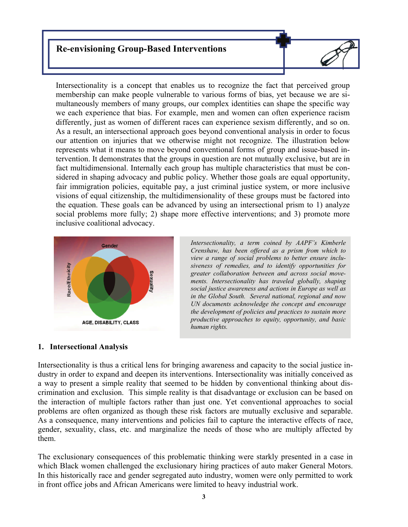# **Re-envisioning Group-Based Interventions**

> Intersectionality is a concept that enables us to recognize the fact that perceived group membership can make people vulnerable to various forms of bias, yet because we are simultaneously members of many groups, our complex identities can shape the specific way we each experience that bias. For example, men and women can often experience racism differently, just as women of different races can experience sexism differently, and so on. As a result, an intersectional approach goes beyond conventional analysis in order to focus our attention on injuries that we otherwise might not recognize. The illustration below represents what it means to move beyond conventional forms of group and issue-based intervention. It demonstrates that the groups in question are not mutually exclusive, but are in fact multidimensional. Internally each group has multiple characteristics that must be considered in shaping advocacy and public policy. Whether those goals are equal opportunity, fair immigration policies, equitable pay, a just criminal justice system, or more inclusive visions of equal citizenship, the multidimensionality of these groups must be factored into the equation. These goals can be advanced by using an intersectional prism to 1) analyze social problems more fully; 2) shape more effective interventions; and 3) promote more inclusive coalitional advocacy.



*Intersectionality, a term coined by AAPF's Kimberle Crenshaw, has been offered as a prism from which to view a range of social problems to better ensure inclusiveness of remedies, and to identify opportunities for greater collaboration between and across social movements. Intersectionality has traveled globally, shaping social justice awareness and actions in Europe as well as in the Global South. Several national, regional and now UN documents acknowledge the concept and encourage the development of policies and practices to sustain more productive approaches to equity, opportunity, and basic human rights.*

#### **1. Intersectional Analysis**

Intersectionality is thus a critical lens for bringing awareness and capacity to the social justice industry in order to expand and deepen its interventions. Intersectionality was initially conceived as a way to present a simple reality that seemed to be hidden by conventional thinking about discrimination and exclusion. This simple reality is that disadvantage or exclusion can be based on the interaction of multiple factors rather than just one. Yet conventional approaches to social problems are often organized as though these risk factors are mutually exclusive and separable. As a consequence, many interventions and policies fail to capture the interactive effects of race, gender, sexuality, class, etc. and marginalize the needs of those who are multiply affected by them.

The exclusionary consequences of this problematic thinking were starkly presented in a case in which Black women challenged the exclusionary hiring practices of auto maker General Motors. In this historically race and gender segregated auto industry, women were only permitted to work in front office jobs and African Americans were limited to heavy industrial work.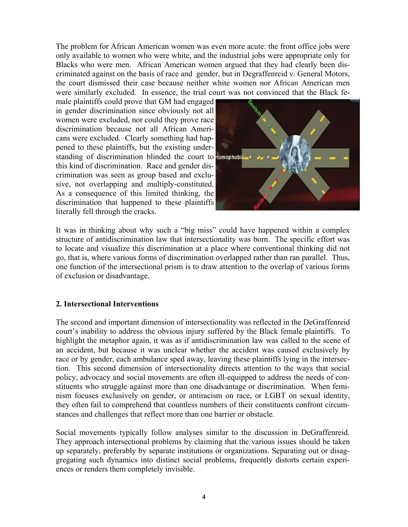The problem for African American women was even more acute: the front office jobs were only available to women who were white, and the industrial jobs were appropriate only for Blacks who were men. African American women argued that they had clearly been discriminated against on the basis of race and gender, but in Degraffenreid v. General Motors, the court dismissed their case because neither white women nor African American men were similarly excluded. In essence, the trial court was not convinced that the Black fe-

male plaintiffs could prove that GM had engaged in gender discrimination since obviously not all women were excluded, nor could they prove race discrimination because not all African Americans were excluded. Clearly something had happened to these plaintiffs, but the existing understanding of discrimination blinded the court to lomophobia this kind of discrimination. Race and gender discrimination was seen as group based and exclusive, not overlapping and multiply-constituted. As a consequence of this limited thinking, the discrimination that happened to these plaintiffs literally fell through the cracks.



It was in thinking about why such a "big miss" could have happened within a complex structure of antidiscrimination law that intersectionality was born. The specific effort was to locate and visualize this discrimination at a place where conventional thinking did not go, that is, where various forms of discrimination overlapped rather than ran parallel. Thus, one function of the intersectional prism is to draw attention to the overlap of various forms of exclusion or disadvantage.

#### **2. Intersectional Interventions**

The second and important dimension of intersectionality was reflected in the DeGraffenreid court's inability to address the obvious injury suffered by the Black female plaintiffs. To highlight the metaphor again, it was as if antidiscrimination law was called to the scene of an accident, but because it was unclear whether the accident was caused exclusively by race or by gender, each ambulance sped away, leaving these plaintiffs lying in the intersection. This second dimension of intersectionality directs attention to the ways that social policy, advocacy and social movements are often ill-equipped to address the needs of constituents who struggle against more than one disadvantage or discrimination. When feminism focuses exclusively on gender, or antiracism on race, or LGBT on sexual identity, they often fail to comprehend that countless numbers of their constituents confront circumstances and challenges that reflect more than one barrier or obstacle.

Social movements typically follow analyses similar to the discussion in DeGraffenreid. They approach intersectional problems by claiming that the various issues should be taken up separately, preferably by separate institutions or organizations. Separating out or disaggregating such dynamics into distinct social problems, frequently distorts certain experiences or renders them completely invisible.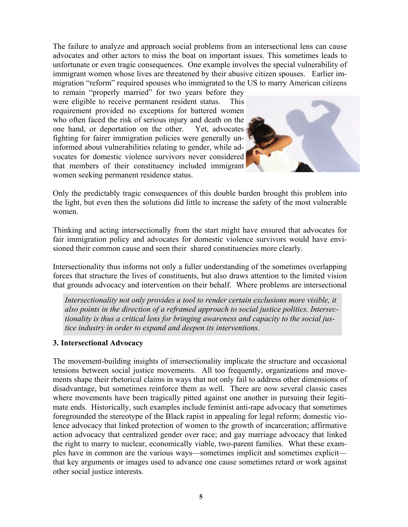The failure to analyze and approach social problems from an intersectional lens can cause advocates and other actors to miss the boat on important issues. This sometimes leads to unfortunate or even tragic consequences. One example involves the special vulnerability of immigrant women whose lives are threatened by their abusive citizen spouses. Earlier immigration "reform" required spouses who immigrated to the US to marry American citizens

to remain "properly married" for two years before they were eligible to receive permanent resident status. This requirement provided no exceptions for battered women who often faced the risk of serious injury and death on the one hand, or deportation on the other. Yet, advocates fighting for fairer immigration policies were generally uninformed about vulnerabilities relating to gender, while advocates for domestic violence survivors never considered that members of their constituency included immigrant women seeking permanent residence status.



Only the predictably tragic consequences of this double burden brought this problem into the light, but even then the solutions did little to increase the safety of the most vulnerable women.

Thinking and acting intersectionally from the start might have ensured that advocates for fair immigration policy and advocates for domestic violence survivors would have envisioned their common cause and seen their shared constituencies more clearly.

Intersectionality thus informs not only a fuller understanding of the sometimes overlapping forces that structure the lives of constituents, but also draws attention to the limited vision that grounds advocacy and intervention on their behalf. Where problems are intersectional

*Intersectionality not only provides a tool to render certain exclusions more visible, it also points in the direction of a reframed approach to social justice politics. Intersectionality is thus a critical lens for bringing awareness and capacity to the social justice industry in order to expand and deepen its interventions.* 

#### **3. Intersectional Advocacy**

The movement-building insights of intersectionality implicate the structure and occasional tensions between social justice movements. All too frequently, organizations and movements shape their rhetorical claims in ways that not only fail to address other dimensions of disadvantage, but sometimes reinforce them as well. There are now several classic cases where movements have been tragically pitted against one another in pursuing their legitimate ends. Historically, such examples include feminist anti-rape advocacy that sometimes foregrounded the stereotype of the Black rapist in appealing for legal reform; domestic violence advocacy that linked protection of women to the growth of incarceration; affirmative action advocacy that centralized gender over race; and gay marriage advocacy that linked the right to marry to nuclear, economically viable, two-parent families. What these examples have in common are the various ways—sometimes implicit and sometimes explicit that key arguments or images used to advance one cause sometimes retard or work against other social justice interests.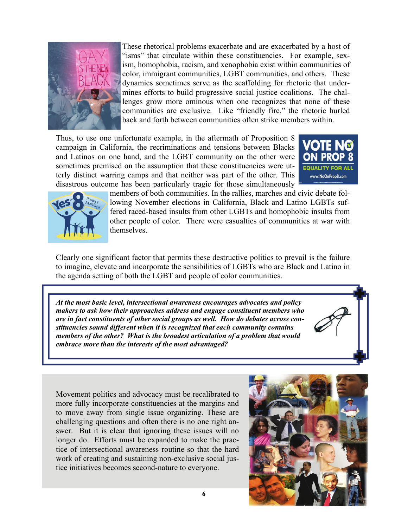

These rhetorical problems exacerbate and are exacerbated by a host of "isms" that circulate within these constituencies. For example, sexism, homophobia, racism, and xenophobia exist within communities of color, immigrant communities, LGBT communities, and others. These dynamics sometimes serve as the scaffolding for rhetoric that undermines efforts to build progressive social justice coalitions. The challenges grow more ominous when one recognizes that none of these communities are exclusive. Like "friendly fire," the rhetoric hurled back and forth between communities often strike members within.

Thus, to use one unfortunate example, in the aftermath of Proposition 8 campaign in California, the recriminations and tensions between Blacks and Latinos on one hand, and the LGBT community on the other were sometimes premised on the assumption that these constituencies were utterly distinct warring camps and that neither was part of the other. This disastrous outcome has been particularly tragic for those simultaneously





members of both communities. In the rallies, marches and civic debate following November elections in California, Black and Latino LGBTs suffered raced-based insults from other LGBTs and homophobic insults from other people of color. There were casualties of communities at war with themselves.

Clearly one significant factor that permits these destructive politics to prevail is the failure to imagine, elevate and incorporate the sensibilities of LGBTs who are Black and Latino in the agenda setting of both the LGBT and people of color communities.

*At the most basic level, intersectional awareness encourages advocates and policy makers to ask how their approaches address and engage constituent members who are in fact constituents of other social groups as well. How do debates across constituencies sound different when it is recognized that each community contains members of the other? What is the broadest articulation of a problem that would embrace more than the interests of the most advantaged?* 

Movement politics and advocacy must be recalibrated to more fully incorporate constituencies at the margins and to move away from single issue organizing. These are challenging questions and often there is no one right answer. But it is clear that ignoring these issues will no longer do. Efforts must be expanded to make the practice of intersectional awareness routine so that the hard work of creating and sustaining non-exclusive social justice initiatives becomes second-nature to everyone.

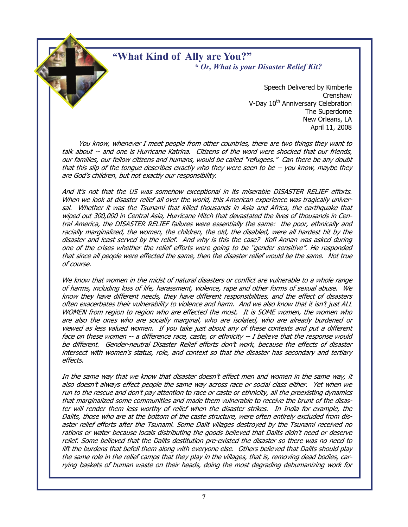# **"What Kind of Ally are You?"**  *\* Or, What is your Disaster Relief Kit?*

 Speech Delivered by Kimberle **Crenshaw** V-Day 10<sup>th</sup> Anniversary Celebration The Superdome New Orleans, LA April 11, 2008

 You know, whenever I meet people from other countries, there are two things they want to talk about -- and one is Hurricane Katrina. Citizens of the word were shocked that our friends, our families, our fellow citizens and humans, would be called "refugees." Can there be any doubt that this slip of the tongue describes exactly who they were seen to be -- you know, maybe they are God's children, but not exactly our responsibility.

And it's not that the US was somehow exceptional in its miserable DISASTER RELIEF efforts. When we look at disaster relief all over the world, this American experience was tragically universal. Whether it was the Tsunami that killed thousands in Asia and Africa, the earthquake that wiped out 300,000 in Central Asia, Hurricane Mitch that devastated the lives of thousands in Central America, the DISASTER RELIEF failures were essentially the same: the poor, ethnically and racially marginalized, the women, the children, the old, the disabled, were all hardest hit by the disaster and least served by the relief. And why is this the case? Kofi Annan was asked during one of the crises whether the relief efforts were going to be "gender sensitive". He responded that since all people were effected the same, then the disaster relief would be the same. Not true of course.

We know that women in the midst of natural disasters or conflict are vulnerable to a whole range of harms, including loss of life, harassment, violence, rape and other forms of sexual abuse. We know they have different needs, they have different responsibilities, and the effect of disasters often exacerbates their vulnerability to violence and harm. And we also know that it isn't just ALL WOMEN from region to region who are effected the most. It is SOME women, the women who are also the ones who are socially marginal, who are isolated, who are already burdened or viewed as less valued women. If you take just about any of these contexts and put a different face on these women -- a difference race, caste, or ethnicity -- I believe that the response would be different. Gender-neutral Disaster Relief efforts don't work, because the effects of disaster intersect with women's status, role, and context so that the disaster has secondary and tertiary effects.

In the same way that we know that disaster doesn't effect men and women in the same way, it also doesn't always effect people the same way across race or social class either. Yet when we run to the rescue and don't pay attention to race or caste or ethnicity, all the preexisting dynamics that marginalized some communities and made them vulnerable to receive the brunt of the disaster will render them less worthy of relief when the disaster strikes. In India for example, the Dalits, those who are at the bottom of the caste structure, were often entirely excluded from disaster relief efforts after the Tsunami. Some Dalit villages destroyed by the Tsunami received no rations or water because locals distributing the goods believed that Dalits didn't need or deserve relief. Some believed that the Dalits destitution pre-existed the disaster so there was no need to lift the burdens that befell them along with everyone else. Others believed that Dalits should play the same role in the relief camps that they play in the villages, that is, removing dead bodies, carrying baskets of human waste on their heads, doing the most degrading dehumanizing work for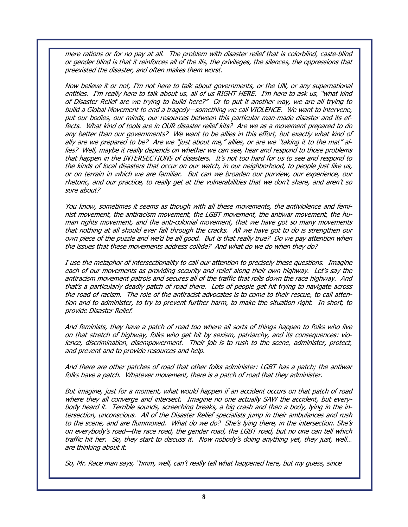mere rations or for no pay at all. The problem with disaster relief that is colorblind, caste-blind or gender blind is that it reinforces all of the ills, the privileges, the silences, the oppressions that preexisted the disaster, and often makes them worst.

Now believe it or not, I'm not here to talk about governments, or the UN, or any supernational entities. I'm really here to talk about us, all of us RIGHT HERE. I'm here to ask us, "what kind of Disaster Relief are we trying to build here?" Or to put it another way, we are all trying to build a Global Movement to end a tragedy—something we call VIOLENCE. We want to intervene, put our bodies, our minds, our resources between this particular man-made disaster and its effects. What kind of tools are in OUR disaster relief kits? Are we as a movement prepared to do any better than our governments? We want to be allies in this effort, but exactly what kind of ally are we prepared to be? Are we "just about me," allies, or are we "taking it to the mat" allies? Well, maybe it really depends on whether we can see, hear and respond to those problems that happen in the INTERSECTIONS of disasters. It's not too hard for us to see and respond to the kinds of local disasters that occur on our watch, in our neighborhood, to people just like us, or on terrain in which we are familiar. But can we broaden our purview, our experience, our rhetoric, and our practice, to really get at the vulnerabilities that we don't share, and aren't so sure about?

You know, sometimes it seems as though with all these movements, the antiviolence and feminist movement, the antiracism movement, the LGBT movement, the antiwar movement, the human rights movement, and the anti-colonial movement, that we have got so many movements that nothing at all should ever fall through the cracks. All we have got to do is strengthen our own piece of the puzzle and we'd be all good. But is that really true? Do we pay attention when the issues that these movements address collide? And what do we do when they do?

I use the metaphor of intersectionality to call our attention to precisely these questions. Imagine each of our movements as providing security and relief along their own highway. Let's say the antiracism movement patrols and secures all of the traffic that rolls down the race highway. And that's a particularly deadly patch of road there. Lots of people get hit trying to navigate across the road of racism. The role of the antiracist advocates is to come to their rescue, to call attention and to administer, to try to prevent further harm, to make the situation right. In short, to provide Disaster Relief.

And feminists, they have a patch of road too where all sorts of things happen to folks who live on that stretch of highway, folks who get hit by sexism, patriarchy, and its consequences: violence, discrimination, disempowerment. Their job is to rush to the scene, administer, protect, and prevent and to provide resources and help.

And there are other patches of road that other folks administer: LGBT has a patch; the antiwar folks have a patch. Whatever movement, there is a patch of road that they administer.

But imagine, just for a moment, what would happen if an accident occurs on that patch of road where they all converge and intersect. Imagine no one actually SAW the accident, but everybody heard it. Terrible sounds, screeching breaks, a big crash and then a body, lying in the intersection, unconscious. All of the Disaster Relief specialists jump in their ambulances and rush to the scene, and are flummoxed. What do we do? She's lying there, in the intersection. She's on everybody's road—the race road, the gender road, the LGBT road, but no one can tell which traffic hit her. So, they start to discuss it. Now nobody's doing anything yet, they just, well… are thinking about it.

So, Mr. Race man says, "hmm, well, can't really tell what happened here, but my guess, since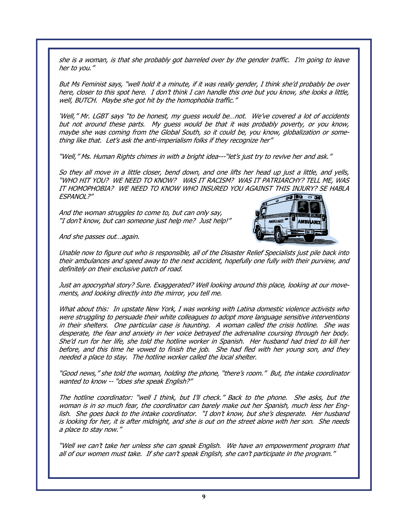she is a woman, is that she probably got barreled over by the gender traffic. I'm going to leave her to you."

But Ms Feminist says, "well hold it a minute, if it was really gender, I think she'd probably be over here, closer to this spot here. I don't think I can handle this one but you know, she looks a little, well, BUTCH. Maybe she got hit by the homophobia traffic."

'Well," Mr. LGBT says "to be honest, my guess would be…not. We've covered a lot of accidents but not around these parts. My guess would be that it was probably poverty, or you know, maybe she was coming from the Global South, so it could be, you know, globalization or something like that. Let's ask the anti-imperialism folks if they recognize her"

"Well," Ms. Human Rights chimes in with a bright idea---"let's just try to revive her and ask."

So they all move in a little closer, bend down, and one lifts her head up just a little, and yells, "WHO HIT YOU? WE NEED TO KNOW? WAS IT RACISM? WAS IT PATRIARCHY? TELL ME, WAS IT HOMOPHOBIA? WE NEED TO KNOW WHO INSURED YOU AGAINST THIS INJURY? SE HABLA ESPANOL?"  $70000$ 

And the woman struggles to come to, but can only say, "I don't know, but can someone just help me? Just help!"



And she passes out…again.

Unable now to figure out who is responsible, all of the Disaster Relief Specialists just pile back into their ambulances and speed away to the next accident, hopefully one fully with their purview, and definitely on their exclusive patch of road.

Just an apocryphal story? Sure. Exaggerated? Well looking around this place, looking at our movements, and looking directly into the mirror, you tell me.

What about this: In upstate New York, I was working with Latina domestic violence activists who were struggling to persuade their white colleagues to adopt more language sensitive interventions in their shelters. One particular case is haunting. A woman called the crisis hotline. She was desperate, the fear and anxiety in her voice betrayed the adrenaline coursing through her body. She'd run for her life, she told the hotline worker in Spanish. Her husband had tried to kill her before, and this time he vowed to finish the job. She had fled with her young son, and they needed a place to stay. The hotline worker called the local shelter.

"Good news," she told the woman, holding the phone, "there's room." But, the intake coordinator wanted to know -- "does she speak English?"

The hotline coordinator: "well I think, but I'll check." Back to the phone. She asks, but the woman is in so much fear, the coordinator can barely make out her Spanish, much less her English. She goes back to the intake coordinator. "I don't know, but she's desperate. Her husband is looking for her, it is after midnight, and she is out on the street alone with her son. She needs a place to stay now."

"Well we can't take her unless she can speak English. We have an empowerment program that all of our women must take. If she can't speak English, she can't participate in the program."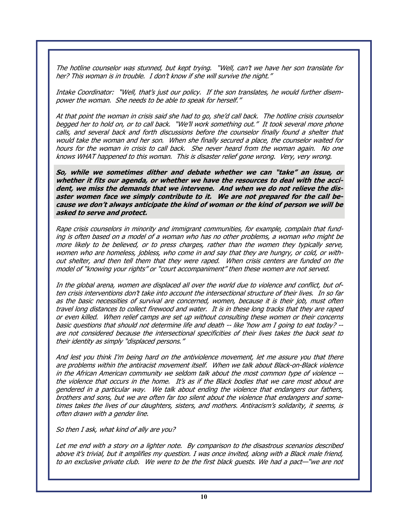The hotline counselor was stunned, but kept trying. "Well, can't we have her son translate for her? This woman is in trouble. I don't know if she will survive the night."

Intake Coordinator: "Well, that's just our policy. If the son translates, he would further disempower the woman. She needs to be able to speak for herself."

At that point the woman in crisis said she had to go, she'd call back. The hotline crisis counselor begged her to hold on, or to call back. "We'll work something out." It took several more phone calls, and several back and forth discussions before the counselor finally found a shelter that would take the woman and her son. When she finally secured a place, the counselor waited for hours for the woman in crisis to call back. She never heard from the woman again. No one knows WHAT happened to this woman. This is disaster relief gone wrong. Very, very wrong.

**So, while we sometimes dither and debate whether we can "take" an issue, or whether it fits our agenda, or whether we have the resources to deal with the accident, we miss the demands that we intervene. And when we do not relieve the disaster women face we simply contribute to it. We are not prepared for the call because we don't always anticipate the kind of woman or the kind of person we will be asked to serve and protect.** 

Rape crisis counselors in minority and immigrant communities, for example, complain that funding is often based on a model of a woman who has no other problems, a woman who might be more likely to be believed, or to press charges, rather than the women they typically serve, women who are homeless, jobless, who come in and say that they are hungry, or cold, or without shelter, and then tell them that they were raped. When crisis centers are funded on the model of "knowing your rights" or "court accompaniment" then these women are not served.

In the global arena, women are displaced all over the world due to violence and conflict, but often crisis interventions don't take into account the intersectional structure of their lives. In so far as the basic necessities of survival are concerned, women, because it is their job, must often travel long distances to collect firewood and water. It is in these long tracks that they are raped or even killed. When relief camps are set up without consulting these women or their concerns basic questions that should not determine life and death -- like 'how am I going to eat today? - are not considered because the intersectional specificities of their lives takes the back seat to their identity as simply "displaced persons."

And lest you think I'm being hard on the antiviolence movement, let me assure you that there are problems within the antiracist movement itself. When we talk about Black-on-Black violence in the African American community we seldom talk about the most common type of violence - the violence that occurs in the home. It's as if the Black bodies that we care most about are gendered in a particular way. We talk about ending the violence that endangers our fathers, brothers and sons, but we are often far too silent about the violence that endangers and sometimes takes the lives of our daughters, sisters, and mothers. Antiracism's solidarity, it seems, is often drawn with a gender line.

So then I ask, what kind of ally are you?

Let me end with a story on a lighter note. By comparison to the disastrous scenarios described above it's trivial, but it amplifies my question. I was once invited, along with a Black male friend, to an exclusive private club. We were to be the first black guests. We had a pact—"we are not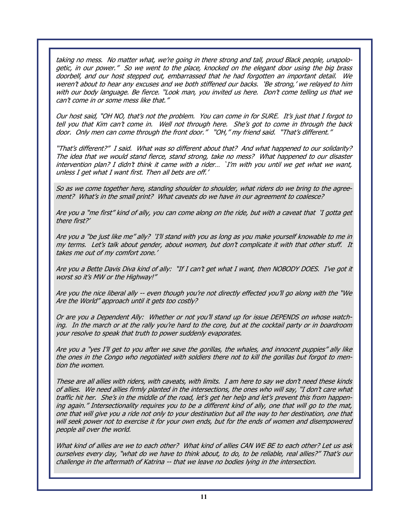taking no mess. No matter what, we're going in there strong and tall, proud Black people, unapologetic, in our power." So we went to the place, knocked on the elegant door using the big brass doorbell, and our host stepped out, embarrassed that he had forgotten an important detail. We weren't about to hear any excuses and we both stiffened our backs. 'Be strong,' we relayed to him with our body language. Be fierce. "Look man, you invited us here. Don't come telling us that we can't come in or some mess like that."

Our host said, "OH NO, that's not the problem. You can come in for SURE. It's just that I forgot to tell you that Kim can't come in. Well not through here. She's got to come in through the back door. Only men can come through the front door." "OH," my friend said. "That's different."

"That's different?" I said. What was so different about that? And what happened to our solidarity? The idea that we would stand fierce, stand strong, take no mess? What happened to our disaster intervention plan? I didn't think it came with a rider… `I'm with you until we get what we want, unless I get what I want first. Then all bets are off.'

So as we come together here, standing shoulder to shoulder, what riders do we bring to the agreement? What's in the small print? What caveats do we have in our agreement to coalesce?

Are you a "me first" kind of ally, you can come along on the ride, but with a caveat that 'I gotta get there first?'

Are you a "be just like me" ally? 'I'll stand with you as long as you make yourself knowable to me in my terms. Let's talk about gender, about women, but don't complicate it with that other stuff. It takes me out of my comfort zone.'

Are you a Bette Davis Diva kind of ally: "If I can't get what I want, then NOBODY DOES. I've got it worst so it's MW or the Highway!"

Are you the nice liberal ally -- even though you're not directly effected you'll go along with the "We Are the World" approach until it gets too costly?

Or are you a Dependent Ally: Whether or not you'll stand up for issue DEPENDS on whose watching. In the march or at the rally you're hard to the core, but at the cocktail party or in boardroom your resolve to speak that truth to power suddenly evaporates.

Are you a "yes I'll get to you after we save the gorillas, the whales, and innocent puppies" ally like the ones in the Congo who negotiated with soldiers there not to kill the gorillas but forgot to mention the women.

These are all allies with riders, with caveats, with limits. I am here to say we don't need these kinds of allies. We need allies firmly planted in the intersections, the ones who will say, "I don't care what traffic hit her. She's in the middle of the road, let's get her help and let's prevent this from happening again." Intersectionality requires you to be a different kind of ally, one that will go to the mat, one that will give you a ride not only to your destination but all the way to her destination, one that will seek power not to exercise it for your own ends, but for the ends of women and disempowered people all over the world.

What kind of allies are we to each other? What kind of allies CAN WE BE to each other? Let us ask ourselves every day, "what do we have to think about, to do, to be reliable, real allies?" That's our challenge in the aftermath of Katrina -- that we leave no bodies lying in the intersection.